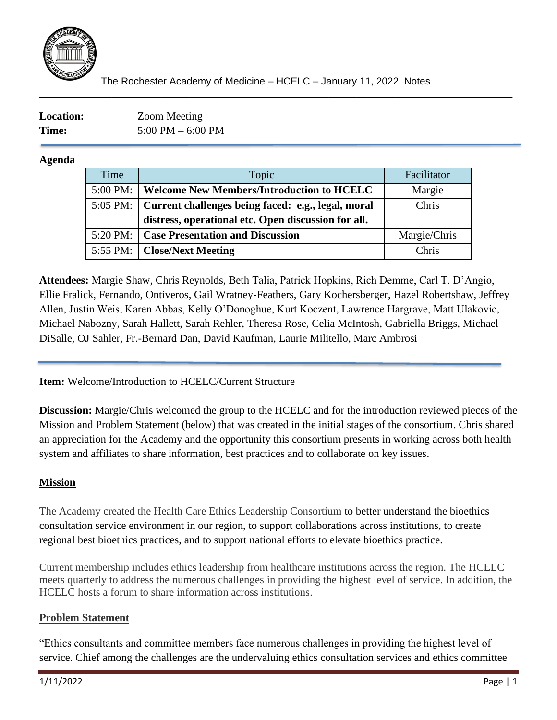

\_\_\_\_\_\_\_\_\_\_\_\_\_\_\_\_\_\_\_\_\_\_\_\_\_\_\_\_\_\_\_\_\_\_\_\_\_\_\_\_\_\_\_\_\_\_\_\_\_\_\_\_\_\_\_\_\_\_\_\_\_\_\_\_\_\_\_\_\_\_\_\_\_\_\_\_\_\_\_\_\_\_\_\_\_

| <b>Location:</b> | <b>Zoom Meeting</b>                 |
|------------------|-------------------------------------|
| Time:            | $5:00 \text{ PM} - 6:00 \text{ PM}$ |

### **Agenda**

| Time | Topic                                                         | Facilitator  |
|------|---------------------------------------------------------------|--------------|
|      | 5:00 PM:   Welcome New Members/Introduction to HCELC          | Margie       |
|      | 5:05 PM:   Current challenges being faced: e.g., legal, moral | Chris        |
|      | distress, operational etc. Open discussion for all.           |              |
|      | 5:20 PM:   Case Presentation and Discussion                   | Margie/Chris |
|      | 5:55 PM:   Close/Next Meeting                                 | Chris        |

**Attendees:** Margie Shaw, Chris Reynolds, Beth Talia, Patrick Hopkins, Rich Demme, Carl T. D'Angio, Ellie Fralick, Fernando, Ontiveros, Gail Wratney-Feathers, Gary Kochersberger, Hazel Robertshaw, Jeffrey Allen, Justin Weis, Karen Abbas, Kelly O'Donoghue, Kurt Koczent, Lawrence Hargrave, Matt Ulakovic, Michael Nabozny, Sarah Hallett, Sarah Rehler, Theresa Rose, Celia McIntosh, Gabriella Briggs, Michael DiSalle, OJ Sahler, Fr.-Bernard Dan, David Kaufman, Laurie Militello, Marc Ambrosi

**Item:** Welcome/Introduction to HCELC/Current Structure

**Discussion:** Margie/Chris welcomed the group to the HCELC and for the introduction reviewed pieces of the Mission and Problem Statement (below) that was created in the initial stages of the consortium. Chris shared an appreciation for the Academy and the opportunity this consortium presents in working across both health system and affiliates to share information, best practices and to collaborate on key issues.

# **Mission**

The Academy created the Health Care Ethics Leadership Consortium to better understand the bioethics consultation service environment in our region, to support collaborations across institutions, to create regional best bioethics practices, and to support national efforts to elevate bioethics practice.

Current membership includes ethics leadership from healthcare institutions across the region. The HCELC meets quarterly to address the numerous challenges in providing the highest level of service. In addition, the HCELC hosts a forum to share information across institutions.

### **Problem Statement**

"Ethics consultants and committee members face numerous challenges in providing the highest level of service. Chief among the challenges are the undervaluing ethics consultation services and ethics committee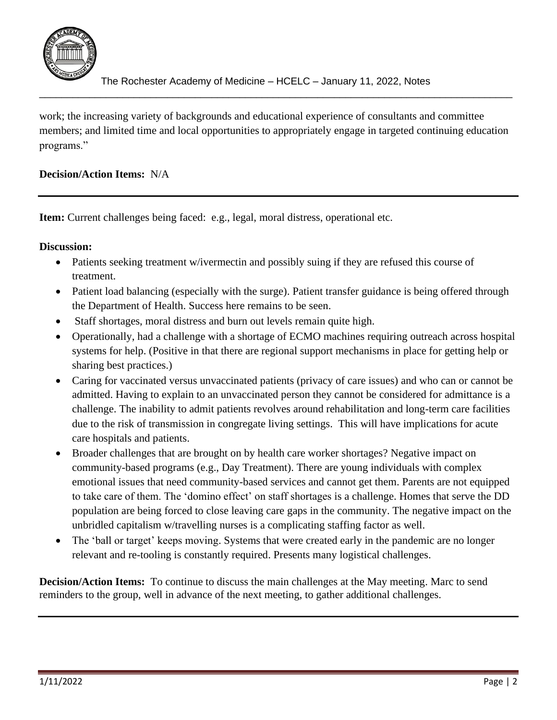

work; the increasing variety of backgrounds and educational experience of consultants and committee members; and limited time and local opportunities to appropriately engage in targeted continuing education programs."

\_\_\_\_\_\_\_\_\_\_\_\_\_\_\_\_\_\_\_\_\_\_\_\_\_\_\_\_\_\_\_\_\_\_\_\_\_\_\_\_\_\_\_\_\_\_\_\_\_\_\_\_\_\_\_\_\_\_\_\_\_\_\_\_\_\_\_\_\_\_\_\_\_\_\_\_\_\_\_\_\_\_\_\_\_

# **Decision/Action Items:** N/A

Item: Current challenges being faced: e.g., legal, moral distress, operational etc.

#### **Discussion:**

- Patients seeking treatment w/ivermectin and possibly suing if they are refused this course of treatment.
- Patient load balancing (especially with the surge). Patient transfer guidance is being offered through the Department of Health. Success here remains to be seen.
- Staff shortages, moral distress and burn out levels remain quite high.
- Operationally, had a challenge with a shortage of ECMO machines requiring outreach across hospital systems for help. (Positive in that there are regional support mechanisms in place for getting help or sharing best practices.)
- Caring for vaccinated versus unvaccinated patients (privacy of care issues) and who can or cannot be admitted. Having to explain to an unvaccinated person they cannot be considered for admittance is a challenge. The inability to admit patients revolves around rehabilitation and long-term care facilities due to the risk of transmission in congregate living settings. This will have implications for acute care hospitals and patients.
- Broader challenges that are brought on by health care worker shortages? Negative impact on community-based programs (e.g., Day Treatment). There are young individuals with complex emotional issues that need community-based services and cannot get them. Parents are not equipped to take care of them. The 'domino effect' on staff shortages is a challenge. Homes that serve the DD population are being forced to close leaving care gaps in the community. The negative impact on the unbridled capitalism w/travelling nurses is a complicating staffing factor as well.
- The 'ball or target' keeps moving. Systems that were created early in the pandemic are no longer relevant and re-tooling is constantly required. Presents many logistical challenges.

**Decision/Action Items:** To continue to discuss the main challenges at the May meeting. Marc to send reminders to the group, well in advance of the next meeting, to gather additional challenges.